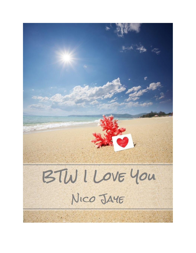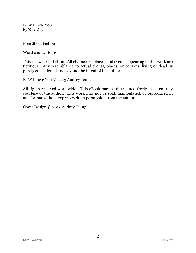BTW I Love You by Nico Jaye

Free Short Fiction

Word count: 18,519

This is a work of fiction. All characters, places, and events appearing in this work are fictitious. Any resemblance to actual events, places, or persons, living or dead, is purely coincidental and beyond the intent of the author.

BTW I Love You © 2013 Audrey Jeung

All rights reserved worldwide. This eBook may be distributed freely in its entirety courtesy of the author. This work may not be sold, manipulated, or reproduced in any format without express written permission from the author.

Cover Design © 2013 Audrey Jeung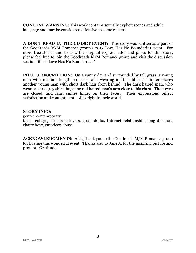**CONTENT WARNING:** This work contains sexually explicit scenes and adult language and may be considered offensive to some readers.

**A DON'T READ IN THE CLOSET EVENT:** This story was written as a part of the Goodreads M/M Romance group's 2013 Love Has No Boundaries event. For more free stories and to view the original request letter and photo for this story, please feel free to join the Goodreads M/M Romance group and visit the discussion section titled "Love Has No Boundaries."

**PHOTO DESCRIPTION:** On a sunny day and surrounded by tall grass, a young man with medium-length red curls and wearing a fitted blue T-shirt embraces another young man with short dark hair from behind. The dark haired man, who wears a dark grey shirt, hugs the red haired man's arm close to his chest. Their eyes are closed, and faint smiles linger on their faces. Their expressions reflect satisfaction and contentment. All is right in their world.

#### **STORY INFO:**

genre: contemporary tags: college, friends-to-lovers, geeks-dorks, Internet relationship, long distance, chatty boyz, emoticon abuse

**ACKNOWLEDGMENTS:** A big thank you to the Goodreads M/M Romance group for hosting this wonderful event. Thanks also to Jane A. for the inspiring picture and prompt. Gratitude.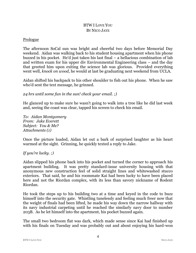# BTW I LOVE YOU BY NICO JAYE

#### Prologue

The afternoon SoCal sun was bright and cheerful two days before Memorial Day weekend. Aidan was walking back to his student housing apartment when his phone buzzed in his pocket. He'd just taken his last final – a hellacious combination of lab and written exam for his upper div Environmental Engineering class – and the day that greeted him upon exiting the science lab was glorious. Provided everything went well, *knock on wood*, he would at last be graduating next weekend from UCLA.

Aidan shifted his backpack to his other shoulder to fish out his phone. When he saw who'd sent the text message, he grinned.

*24 hrs until some fun in the sun! check your email. ;)*

He glanced up to make sure he wasn't going to walk into a tree like he did last week and, seeing the coast was clear, tapped his screen to check his email.

*To: Aidan Montgomery From: Jake Everett Subject: You & Me? Attachments (1)*

Once the picture loaded, Aidan let out a bark of surprised laughter as his heart warmed at the sight. Grinning, he quickly texted a reply to Jake.

### *If you're lucky. ;)*

Aidan slipped his phone back into his pocket and turned the corner to approach his apartment building. It was pretty standard-issue university housing with that anonymous new construction feel of solid straight lines and whitewashed stucco exteriors. That said, he and his roommate Kai had been lucky to have been placed here and not the Riordan complex, with its less than savory nickname of Rodent Riordan.

He took the steps up to his building two at a time and keyed in the code to buzz himself into the security gate. Whistling tunelessly and feeling much freer now that the weight of finals had been lifted, he made his way down the narrow hallway with its navy industrial carpeting until he reached the similarly navy door to number 203B. As he let himself into the apartment, his pocket buzzed again.

The small two bedroom flat was dark, which made sense since Kai had finished up with his finals on Tuesday and was probably out and about enjoying his hard-won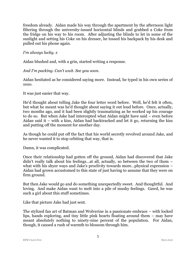freedom already. Aidan made his way through the apartment by the afternoon light filtering through the university-issued horizontal blinds and grabbed a Coke from the fridge on his way to his room. After adjusting the blinds to let in some of the sunlight and setting his Coke on his dresser, he tossed his backpack by his desk and pulled out his phone again.

*I'm always lucky. x*

Aidan blushed and, with a grin, started writing a response.

*And I'm packing. Can't wait. See you soon.*

Aidan hesitated as he considered saying more. Instead, he typed in his own series of *xoxo*.

It was just easier that way.

He'd thought about telling Jake the four letter word before. Well, he'd felt it often, but what he meant was he'd thought about saying it out loud before. Once, actually, two months ago, and it had been slightly traumatizing as he worked up his courage to do so. But when Jake had intercepted what Aidan might have said – even before Aidan said it – with a kiss, Aidan had backtracked and let it go, returning the kiss and putting off the moment for another day.

As though he could put off the fact that his world secretly revolved around Jake, and he never wanted it to stop orbiting that way, that is.

Damn, it was complicated.

Once their relationship had gotten off the ground, Aidan had discovered that Jake didn't really talk about his feelings…at all, actually, so between the two of them – what with his shyer ways and Jake's proclivity towards more...physical expression – Aidan had grown accustomed to this state of just having to assume that they were on firm ground.

But then Jake would go and do something unexpectedly sweet. And thoughtful. And loving. And make Aidan want to melt into a pile of mushy feelings. Gawd, he was such a girl about this stuff sometimes.

Like that picture Jake had just sent.

The stylized fan art of Batman and Wolverine in a passionate embrace – with locked lips, hands exploring, and tiny little pink hearts floating around them – may have meant absolutely nothing to ninety-nine percent of the population. For Aidan, though, it caused a rush of warmth to blossom through him.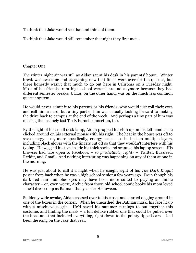To think that Jake would see that and think of them.

To think that Jake would still remember that night they first met…

### Chapter One

The winter night air was still as Aidan sat at his desk in his parents' house. Winter break was awesome and everything now that finals were over for the quarter, but there honestly wasn't that much to do out here in Calistoga on a Tuesday night. Most of his friends from high school weren't around anymore because they had different semester breaks; UCLA, on the other hand, was on the much less common quarter system.

He would never admit it to his parents or his friends, who would just roll their eyes and call him a nerd, but a tiny part of him was actually looking forward to making the drive back to campus at the end of the week. And perhaps a tiny part of him was missing the insanely fast T-1 Ethernet connection, too.

By the light of his small desk lamp, Aidan propped his chin up on his left hand as he clicked around on his external mouse with his right. The heat in the house was off to save energy – or, more specifically, energy costs – so he had on multiple layers, including black gloves with the fingers cut off so that they wouldn't interfere with his typing. He wiggled his toes inside his thick socks and scanned his laptop screen. His browser had tabs open to Facebook – *so predictable, right?* – Twitter, Buzzfeed, Reddit, and Gmail. And nothing interesting was happening on any of them at one in the morning.

He was just about to call it a night when he caught sight of his *The Dark Knight* poster from back when he was a high school senior a few years ago. Even though his dark red hair and blue eyes may have been more suited to playing an anime character – or, even worse, Archie from those old school comic books his mom loved – he'd dressed up as Batman that year for Halloween.

Suddenly wide awake, Aidan crossed over to his closet and started digging around in one of the boxes in the corner. When he unearthed the Batman mask, his face lit up with a mischievous grin. He'd saved his summer earnings to put together this costume, and finding the mask – a full deluxe rubber one that could be pulled over the head and that included everything, right down to the pointy tipped ears – had been the icing on the cake that year.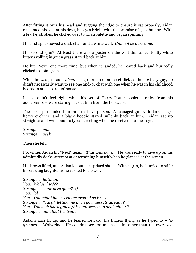After fitting it over his head and tugging the edge to ensure it sat properly, Aidan reclaimed his seat at his desk, his eyes bright with the promise of geek humor. With a few keystrokes, he clicked over to Chatroulette and began spinning.

His first spin showed a desk chair and a white wall. *Um, not so awesome*.

His second spin? At least there was a poster on the wall this time. Fluffy white kittens rolling in green grass stared back at him.

He hit "Next" one more time, but when it landed, he reared back and hurriedly clicked to spin again.

While he was just as – *ahem* – big of a fan of an erect dick as the next gay guy, he didn't necessarily want to see one and/or chat with one when he was in his childhood bedroom at his parents' house.

It just didn't feel right when his set of Harry Potter books – relics from his adolescence – were staring back at him from the bookcase.

The next spin landed him on a real live person. A teenaged girl with dark bangs, heavy eyeliner, and a black hoodie stared sullenly back at him. Aidan sat up straighter and was about to type a greeting when he received her message.

*Stranger: ugh Stranger: geek*

Then she left.

Frowning, Aidan hit "Next" again. *That was harsh.* He was ready to give up on his admittedly dorky attempt at entertaining himself when he glanced at the screen.

His brows lifted, and Aidan let out a surprised shout. With a grin, he hurried to stifle his ensuing laughter as he rushed to answer.

*Stranger: Batman. You: Wolverine??? Stranger: come here often? :) You: lol You: You might have seen me around as Bruce. Stranger: \*gasp\* letting me in on your secrets already? ;) You: You look like a guy w/his own secrets to deal with. :P Stranger: ain't that the truth*

Aidan's gaze lit up, and he leaned forward, his fingers flying as he typed to – *he grinned* – Wolverine. He couldn't see too much of him other than the oversized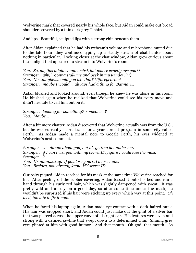Wolverine mask that covered nearly his whole face, but Aidan could make out broad shoulders covered by a thin dark grey T-shirt.

And lips. Beautiful, sculpted lips with a strong chin beneath them.

After Aidan explained that he had his webcam's volume and microphone muted due to the late hour, they continued typing up a steady stream of chat banter about nothing in particular. Looking closer at the chat window, Aidan grew curious about the sunlight that appeared to stream into Wolverine's room.

*You: So, uh, this might sound weird, but where exactly are you?? Stranger: why? gonna stalk me and peek in my window? :) You: No…maybe…would you like that? \*lifts eyebrow\* Stranger: maybe I would… always had a thing for Batman…*

Aidan blushed and looked around, even though he knew he was alone in his room. He blushed again when he realized that Wolverine could see his every move and didn't hesitate to call him out on it.

*Stranger: looking for something? someone…? You: Maybe…*

After a bit more chatter, Aidan discovered that Wolverine actually was from the U.S., but he was currently in Australia for a year abroad program in some city called Perth. As Aidan made a mental note to Google Perth, his eyes widened at Wolverine's next comment.

*Stranger: so…dunno about you, but it's getting hot under here Stranger: if I can trust you with my secret ID, figure I could lose the mask Stranger: ? You: Hrmmm…okay. If you lose yours, I'll lose mine. You: Besides, you already know MY secret ID.*

Curiosity piqued, Aidan reached for his mask at the same time Wolverine reached for his. After peeling off the rubber covering, Aidan tossed it onto his bed and ran a hand through his curly red hair, which was slightly dampened with sweat. It was pretty wild and unruly on a good day, so after some time under the mask, he wouldn't be surprised if his hair were sticking up every which way at this point. *Oh well, too late to fix it now.*

When he faced his laptop again, Aidan made eye contact with a dark-haired hunk. His hair was cropped short, and Aidan could just make out the glint of a silver bar that was pierced across the upper curve of his right ear. His features were even and strong with a defined jawline that swept down to a determined chin. Shining grey eyes glinted at him with good humor. And that mouth. Oh god, that mouth. As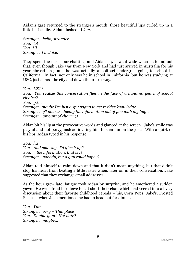Aidan's gaze returned to the stranger's mouth, those beautiful lips curled up in a little half-smile. Aidan flushed. *Wow*.

*Stranger: hello, stranger You: lol You: Hi. Stranger: I'm Jake.*

They spent the next hour chatting, and Aidan's eyes went wide when he found out that, even though Jake was from New York and had just arrived in Australia for his year abroad program, he was actually a poli sci undergrad going to school in California. In fact, not only was he in school in California, but he was studying at USC, just across the city and down the 10 freeway.

*You: USC? You: You realize this conversation flies in the face of a hundred years of school rivalry? You: j/k :) Stranger: maybe I'm just a spy trying to get insider knowledge Stranger: y'know…seducing the information out of you with my huge… Stranger: amount of charm ;)*

Aidan bit his lip at the provocative words and glanced at the screen. Jake's smile was playful and not pervy, instead inviting him to share in on the joke. With a quirk of his lips, Aidan typed in his response.

*You: ha You: And who says I'd give it up? You: …the information, that is ;) Stranger: nobody, but a guy could hope :)*

Aidan told himself to calm down and that it didn't mean anything, but that didn't stop his heart from beating a little faster when, later on in their conversation, Jake suggested that they exchange email addresses.

As the hour grew late, fatigue took Aidan by surprise, and he smothered a sudden yawn. He was afraid he'd have to cut short their chat, which had veered into a lively discussion about their favorite childhood cereals – his, Corn Pops; Jake's, Frosted Flakes – when Jake mentioned he had to head out for dinner.

*You: Yum. Stranger: very – Thai place You: Double yum! Hot date? Stranger: maybe…*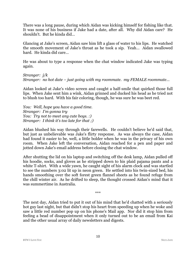There was a long pause, during which Aidan was kicking himself for fishing like that. It was none of his business if Jake had a date, after all. Why did Aidan care? He shouldn't. But he kinda did…

Glancing at Jake's screen, Aidan saw him lift a glass of water to his lips. He watched the smooth movement of Jake's throat as he took a sip. Yeah… Aidan swallowed hard. He kinda did care…

He was about to type a response when the chat window indicated Jake was typing again.

*Stranger: j/k Stranger: no hot date – just going with my roommate. my FEMALE roommate…*

Aidan looked at Jake's video screen and caught a half-smile that quirked those full lips. When Jake sent him a wink, Aidan grinned and ducked his head as he tried not to blush too hard. With his fair coloring, though, he was sure he was beet red.

*You: Well, hope you have a good time. Stranger: I'm gonna try You: Try not to meet any cute boys. :) Stranger: I think it's too late for that ;)*

Aidan blushed his way through their farewells. He couldn't believe he'd said that, but just as unbelievable was Jake's flirty response. As was always the case, Aidan had found it easier to be, well, a little bolder when he was in the privacy of his own room. When Jake left the conversation, Aidan reached for a pen and paper and jotted down Jake's email address before closing the chat window.

After shutting the lid on his laptop and switching off the desk lamp, Aidan pulled off his hoodie, socks, and gloves as he stripped down to his plaid pajama pants and a white T-shirt. With a wide yawn, he caught sight of his alarm clock and was startled to see the numbers 3:02 lit up in neon green. He settled into his twin-sized bed, his hands smoothing over the soft forest green flannel sheets as he found refuge from the chill winter air. As he drifted to sleep, the thought crossed Aidan's mind that it was summertime in Australia.

The next day, Aidan tried to put it out of his mind that he'd chatted with a seriously hot guy last night, but that didn't stop his heart from speeding up when he woke and saw a little red number pop up on his phone's Mail app. Nor did it stop him from feeling a bead of disappointment when it only turned out to be an email from Kai and the other usual array of daily newsletters and digests.

\*\*\*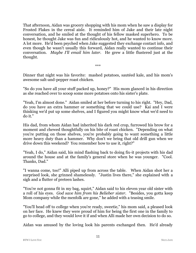That afternoon, Aidan was grocery shopping with his mom when he saw a display for Frosted Flakes in the cereal aisle. It reminded him of Jake and their late night conversation, and he smiled at the thought of his fellow masked superhero. To be honest, he thought Jake was fun and ridiculously hot, and he wanted to know more. A lot more. He'd been psyched when Jake suggested they exchange contact info, and even though he wasn't usually this forward, Aidan really wanted to continue their conversation. *Maybe I'll email him later.* He grew a little flustered just at the thought.

\*\*\*

Dinner that night was his favorite: mashed potatoes, sautéed kale, and his mom's awesome salt-and-pepper roast chicken.

"So do you have all your stuff packed up, honey?" His mom glanced in his direction as she reached over to scoop some more potatoes onto his sister's plate.

"Yeah, I'm almost done." Aidan smiled at her before turning to his right. "Hey, Dad, do you have an extra hammer or something that we could use? Kai and I were thinking we'd put up some shelves, and I figured you might know what we'd need to do it."

His dad, from whom Aidan had inherited his dark red crop, furrowed his brow for a moment and chewed thoughtfully on his bite of roast chicken. "Depending on what you're putting on those shelves, you're probably going to want something a little more heavy duty than a hammer. Why don't we bring that old drill gun when we drive down this weekend? You remember how to use it, right?"

"Yeah, I do," Aidan said, his mind flashing back to doing fix-it projects with his dad around the house and at the family's general store when he was younger. "Cool. Thanks, Dad."

"I wanna come, too!" Alli piped up from across the table. When Aidan shot her a surprised look, she grinned shamelessly. "Justin lives there," she explained with a sigh and a flutter of preteen lashes.

"You're not gonna fit in my bag, squirt," Aidan said to his eleven year old sister with a roll of his eyes. *God save him from his Belieber sister*. "Besides, you gotta keep Mom company while the menfolk are gone," he added with a teasing smile.

"You'll head off to college when you're ready, sweetie," his mom said, a pleased look on her face. He knew they were proud of him for being the first one in the family to go to college, and they would love it if and when Alli made her own decision to do so.

Aidan was amused by the loving look his parents exchanged then. He'd already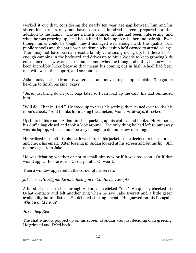worked it out that, considering the nearly ten year age gap between him and his sister, his parents may not have been one hundred percent prepared for that addition to the family. Having a much younger sibling had been…interesting, and when he was growing up, he'd had a hand in helping to raise her and babysit. Even though times could be tough, they'd managed well enough with the quality local public schools and the hard-won academic scholarship he'd earned to attend college. There may not have been any exotic family vacations growing up, but there'd been enough camping in the backyard and drives up to Muir Woods to keep growing kids entertained. They were a close bunch, and, when he thought about it, he knew he'd been incredibly lucky because that meant his coming out in high school had been met with warmth, support, and acceptance.

Aidan took a last sip from his water glass and moved to pick up his plate. "I'm gonna head up to finish packing, okay?"

"Sure, just bring down your bags later so I can load up the car," his dad reminded him.

"Will do. Thanks, Dad." He stood up to clear his setting, then leaned over to kiss his mom's cheek. "And thanks for making the chicken, Mom. As always, it rocked."

Upstairs in his room, Aidan finished packing up his clothes and books. He zippered his duffle bag closed and took a look around. The only thing he had left to put away was his laptop, which should be easy enough to do tomorrow morning.

He realized he'd left his phone downstairs in his jacket, so he decided to take a break and check his email. After logging in, Aidan looked at his screen and bit his lip. Still no message from Jake.

He was debating whether or not to email him now or if it was too soon. Or if that would appear too forward. Or desperate. Or weird.

Then a window appeared in the corner of his screen.

### *jake.everett09@gmail.com added you to Contacts. Accept?*

A burst of pleasure shot through Aidan as he clicked "Yes." He quickly checked his Gchat contacts and felt another zing when he saw Jake Everett and a little green availability button listed. He debated starting a chat. He gnawed on his lip again. *What would I say?*

#### *Jake: hey Red*

The chat window popped up on his screen as Aidan was just deciding on a greeting. He grinned and IMed back.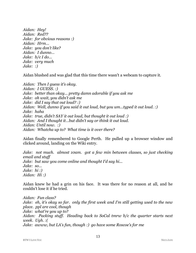*Aidan: Hey! Aidan: Red?? Jake: for obvious reasons :) Aidan: Hrm… Jake: you don't like? Aidan: I dunno… Jake: b/c I do… Jake: very much Jake: :)*

Aidan blushed and was glad that this time there wasn't a webcam to capture it.

*Aidan: Then I guess it's okay. Aidan: I GUESS. :) Jake: better than okay… pretty damn adorable if you ask me Jake: oh wait, you didn't ask me Jake: did I say that out loud? :) Aidan: Well, dunno if you said it out loud, but you um…typed it out loud. :) Jake: haha Jake: true, didn't SAY it out loud, but thought it out loud :) Aidan: And I thought it…but didn't say or think it out loud. Aidan: Until now. :) Aidan: Whatcha up to? What time is it over there?*

Aidan finally remembered to Google Perth. He pulled up a browser window and clicked around, landing on the Wiki entry.

*Jake: not much. almost 10am. got a few min between classes, so just checking email and stuff Jake: but saw you come online and thought I'd say hi... Jake: so… Jake: hi :) Aidan: Hi :)*

Aidan knew he had a grin on his face. It was there for no reason at all, and he couldn't lose it if he tried.

*Aidan: Fun class? Jake: eh, it's okay so far. only the first week and I'm still getting used to the new place. ppl are cool, though Jake: what're you up to? Aidan: Packing stuff. Heading back to SoCal tmrw b/c the quarter starts next week. Ugh. :( Jake: awww, but LA's fun, though :) go have some Roscoe's for me*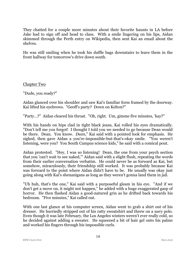They chatted for a couple more minutes about their favorite haunts in LA before Jake had to sign off and head to class. With a smile lingering on his lips, Aidan skimmed through the Perth entry on Wikipedia, then sent Kai an email about the shelves.

He was still smiling when he took his duffle bags downstairs to leave them in the front hallway for tomorrow's drive down south.

Chapter Two

"Dude, you ready?"

Aidan glanced over his shoulder and saw Kai's familiar form framed by the doorway. Kai lifted his eyebrows. "Geoff's party? Down on Kelton?"

"Party…?" Aidan cleared his throat. "Oh, right. Um, gimme five minutes, 'kay?"

With his hands on hips clad in tight black jeans, Kai rolled his eyes dramatically. "Don't tell me you forgot! I thought I told you we needed to go because Dean would be there. Dean. You know. *Dean*," Kai said with a pointed look for emphasis. He sighed, then gave Aidan a you're-impossible-but-that's-okay smile. "You weren't listening, were you? You South Campus science kids," he said with a comical pout.

Aidan protested. "Hey, I was so listening! Dean, the one from your psych section that you 'can't wait to see naked,'" Aidan said with a slight flush, repeating the words from their earlier conversation verbatim. He could never be as forward as Kai, but somehow, miraculously, their friendship still worked. It was probably because Kai was forward to the point where Aidan didn't have to be. He usually was okay just going along with Kai's shenanigans as long as they weren't gonna land them in jail.

"Uh huh, that's the one," Kai said with a purposeful gleam in his eye. "And if we don't get a move on, it might not happen," he added with a huge exaggerated gasp of horror. He then flashed Aidan a good-natured grin as he drifted back towards his bedroom. "Five minutes," Kai called out.

With one last glance at his computer screen, Aidan went to grab a shirt out of his dresser. He hurriedly stripped out of his ratty sweatshirt and threw on a navy polo. Even though it was late February, the Los Angeles winters weren't ever really cold, so he decided against adding a sweater. He squeezed a bit of hair gel onto his palms and worked his fingers through his impossible curls.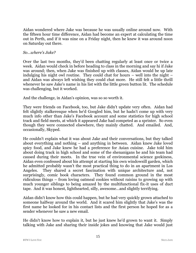Aidan wondered where Jake was because he was usually online around now. With the fifteen hour time difference, Aidan had become an expert at calculating the time out in Perth, and if it was nine on a Friday night, then he knew it was around noon on Saturday out there.

### *So…where's Jake?*

Over the last two months, they'd been chatting regularly at least once or twice a week. Aidan would check in before heading to class in the morning and say hi if Jake was around; then, when Jake was finished up with classes, Aidan would be up late indulging his night owl routine. They could chat for hours – well into the night – and Aidan was always left wishing they could chat more. He still felt a little thrill whenever he saw Jake's name in his list with the little green button lit. The schedule was challenging, but it worked.

And the challenge, in Aidan's opinion, was so so worth it.

They were friends on Facebook, too, but Jake didn't update very often. Aidan had felt slightly stalkeresque when he'd Googled him, but he hadn't come up with very much info other than Jake's Facebook account and some statistics for high school track and field meets, at which it appeared Jake had competed as a sprinter. So even though they were connected elsewhere, they mainly chatted. And emailed. And, occasionally, Skyped.

He couldn't explain what it was about Jake and their conversations, but they talked about everything and nothing – and anything in between. Aidan knew Jake loved spicy food, and Jake knew he had a preference for Asian cuisine. Jake told him about doing track in high school and some of the shenanigans he and his team had caused during their meets. In the true vein of environmental science geekiness, Aidan even confessed about his attempt at starting his own windowsill garden, which he admitted probably wasn't the most practical thing to do in an apartment in Los Angeles. They shared a secret fascination with unique architecture and, not surprisingly, comic book characters. They found common ground in the most ridiculous things – from loving oatmeal cookies without raisins to growing up with much younger siblings to being amazed by the multifunctional fix-it uses of duct tape. And it was honest, lighthearted, silly, awesome…and slightly terrifying.

Aidan didn't know how this could happen, but he had very quickly grown attached to someone halfway around the world. And it scared him slightly that Jake's was the first name he looked for in his contact lists and the first person he hoped for as a sender whenever he saw a new email.

He didn't know how to explain it, but he just knew he'd grown to want it. Simply talking with Jake and sharing their inside jokes and knowing that Jake would just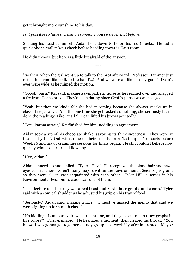get it brought more sunshine to his day.

*Is it possible to have a crush on someone you've never met before?*

Shaking his head at himself, Aidan bent down to tie on his red Chucks. He did a quick phone-wallet-keys check before heading towards Kai's room.

He didn't know, but he was a little bit afraid of the answer.

\*\*\*

"So then, when the girl went up to talk to the prof afterward, Professor Hammer just raised his hand like 'talk to the hand'…! And we were all like 'oh my god!'" Dean's eyes were wide as he mimed the motion.

"Ooooh, burn," Kai said, making a sympathetic noise as he reached over and snagged a fry from Dean's stash. They'd been dating since Geoff's party two weeks ago.

"Yeah, but then we kinda felt she had it coming because she always speaks up in class. Like, always. And the one time she gets asked something, she seriously hasn't done the reading? Like, at all?" Dean lifted his brows pointedly.

"Total karma attack," Kai finished for him, nodding in agreement.

Aidan took a sip of his chocolate shake, savoring its thick sweetness. They were at the nearby In-N-Out with some of their friends for a "last supper" of sorts before Week 10 and major cramming sessions for finals began. He still couldn't believe how quickly winter quarter had flown by.

"Hey, Aidan."

Aidan glanced up and smiled. "Tyler. Hey." He recognized the blond hair and hazel eyes easily. There weren't many majors within the Environmental Science program, so they were all at least acquainted with each other. Tyler Hill, a senior in his Environmental Economics class, was one of them.

"That lecture on Thursday was a real beast, huh? All those graphs and charts," Tyler said with a comical shudder as he adjusted his grip on his tray of food.

"Seriously," Aidan said, making a face. "I must've missed the memo that said we were signing up for a math class."

"No kidding. I can barely draw a straight line, and they expect me to draw graphs in five colors?" Tyler grimaced. He hesitated a moment, then cleared his throat. "You know, I was gonna get together a study group next week if you're interested. Maybe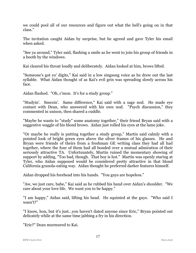we could pool all of our resources and figure out what the hell's going on in that class."

The invitation caught Aidan by surprise, but he agreed and gave Tyler his email when asked.

"See ya around," Tyler said, flashing a smile as he went to join his group of friends in a booth by the windows.

Kai cleared his throat loudly and deliberately. Aidan looked at him, brows lifted.

"Someone's got yo' digits," Kai said in a low singsong voice as he drew out the last syllable. What Aidan thought of as Kai's evil grin was spreading slowly across his face.

Aidan flushed. "Oh, c'mon. It's for a study group."

"Studyin'. Smexin'. Same difference," Kai said with a sage nod. He made eye contact with Dean, who answered with his own nod. "Psych discussion," they commented in unison, then shared a cuddle.

"Maybe he wants to "study" some anatomy together," their friend Bryan said with a suggestive waggle of his blond brows. Aidan just rolled his eyes at the lame joke.

"Or maybe he really is putting together a study group," Martin said calmly with a pointed look of bright green eyes above the silver frames of his glasses. He and Bryan were friends of theirs from a freshman GE writing class they had all had together, where the four of them had all bonded over a mutual admiration of their seriously attractive TA. Unfortunately, Martin ruined the momentary showing of support by adding, "Too bad, though. That boy is hot." Martin was openly staring at Tyler, who Aidan supposed would be considered pretty attractive in that blond California granola-eating way. Aidan thought he preferred darker features himself.

Aidan dropped his forehead into his hands. "You guys are hopeless."

"Aw, we just care, babe," Kai said as he rubbed his hand over Aidan's shoulder. "We care about your love life. We want you to be happy."

"I am happy," Aidan said, lifting his head. He squinted at the guys. "Who said I wasn't?"

"I know, hon, but it's just…you haven't dated anyone since Eric," Bryan pointed out delicately while at the same time jabbing a fry in his direction.

"Eric?" Dean murmured to Kai.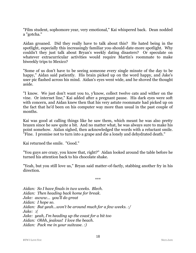"Film student, sophomore year, very emotional," Kai whispered back. Dean nodded a "gotcha."

Aidan groaned. Did they really have to talk about this? He hated being in the spotlight, especially this increasingly familiar you-should-date-more spotlight. Why couldn't they just talk about Bryan's weekly dating disasters? Or speculate on whatever extracurricular activities would require Martin's roommate to make biweekly trips to Mexico?

"Some of us don't have to be seeing someone every single minute of the day to be happy," Aidan said patiently. His brain picked up on the word happy, and Jake's user pic flashed across his mind. Aidan's eyes went wide, and he shoved the thought aside.

"I know. We just don't want you to, y'know, collect twelve cats and wither on the vine. Or internet line," Kai added after a pregnant pause. His dark eyes were soft with concern, and Aidan knew then that his very astute roommate had picked up on the fact that he'd been on his computer way more than usual in the past couple of months.

Kai was good at calling things like he saw them, which meant he was also pretty brazen since he saw quite a bit. And no matter what, he was always sure to make his point somehow. Aidan sighed, then acknowledged the words with a reluctant smile. "Fine. I promise not to turn into a grape and die a lonely and dehydrated death."

Kai returned the smile. "Good."

"You guys are crazy, you know that, right?" Aidan looked around the table before he turned his attention back to his chocolate shake.

"Yeah, but you still love us," Bryan said matter-of-factly, stabbing another fry in his direction.

\*\*\*

*Aidan: So I have finals in two weeks. Blech. Aidan: Then heading back home for break. Jake: awww… you'll do great Aidan: I hope so. Aidan: But yeah…won't be around much for a few weeks. :/ Jake: :( Jake: yeah, I'm heading up the coast for a bit too Aidan: Ohhh, jealous! I love the beach. Aidan: Pack me in your suitcase. :)*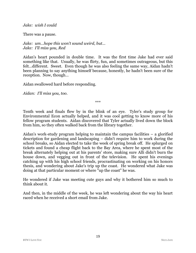#### *Jake: wish I could*

There was a pause.

*Jake: um…hope this won't sound weird, but… Jake: I'll miss you, Red*

Aidan's heart pounded in double time. It was the first time Jake had ever said something like that. Usually, he was flirty, fun, and sometimes outrageous, but this felt…different. Sweet. Even though he was also feeling the same way, Aidan hadn't been planning to say anything himself because, honestly, he hadn't been sure of the reception. Now, though…

Aidan swallowed hard before responding.

*Aidan: I'll miss you, too.*

\*\*\*

Tenth week and finals flew by in the blink of an eye. Tyler's study group for Environmental Econ actually helped, and it was cool getting to know more of his fellow program students. Aidan discovered that Tyler actually lived down the block from him, so they often walked back from the library together.

Aidan's work-study program helping to maintain the campus facilities – a glorified description for gardening and landscaping – didn't require him to work during the school breaks, so Aidan elected to take the week of spring break off. He splurged on tickets and found a cheap flight back to the Bay Area, where he spent most of the break alternately helping out at his parents' store, making sure Alli didn't burn the house down, and vegging out in front of the television. He spent his evenings catching up with his high school friends, procrastinating on working on his honors thesis, and wondering about Jake's trip up the coast. He wondered what Jake was doing at that particular moment or where "up the coast" he was.

He wondered if Jake was meeting cute guys and why it bothered him so much to think about it.

And then, in the middle of the week, he was left wondering about the way his heart raced when he received a short email from Jake.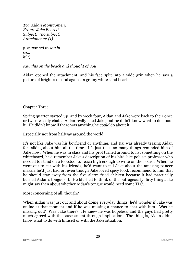*To: Aidan Montgomery From: Jake Everett Subject: (no subject) Attachments: (1)*

*just wanted to say hi so… hi :)*

*saw this on the beach and thought of you*

Aidan opened the attachment, and his face split into a wide grin when he saw a picture of bright red coral against a grainy white sand beach.

## Chapter Three

Spring quarter started up, and by week four, Aidan and Jake were back to their once or twice-weekly chats. Aidan really liked Jake, but he didn't know what to do about it. He didn't know if there was anything he *could* do about it.

Especially not from halfway around the world.

It's not like Jake was his boyfriend or anything, and Kai was already teasing Aidan for talking about him all the time. It's just that…so many things reminded him of Jake now. When he was in class and his prof turned around to list something on the whiteboard, he'd remember Jake's description of his bird-like poli sci professor who needed to stand on a footstool to reach high enough to write on the board. When he went out to eat with his friends, he'd want to tell Jake about the amazing paneer masala he'd just had or, even though Jake loved spicy food, recommend to him that he should stay away from the five alarm fried chicken because it had practically burned Aidan's tongue off. He blushed to think of the outrageously flirty thing Jake might say then about whether Aidan's tongue would need some TLC.

Most concerning of all, though?

When Aidan was just out and about doing everyday things, he'd wonder if Jake was online at that moment and if he was missing a chance to chat with him. Was he missing out? Was Jake there? He knew he was hopeless, and the guys had pretty much agreed with that assessment through implication. The thing is, Aidan didn't know what to do with himself or with the Jake situation.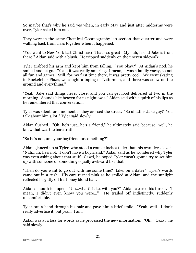So maybe that's why he said yes when, in early May and just after midterms were over, Tyler asked him out.

They were in the same Chemical Oceanography lab section that quarter and were walking back from class together when it happened.

"You went to New York last Christmas? That's so great! My…uh, friend Jake is from there," Aidan said with a blush. He tripped suddenly on the uneven sidewalk.

Tyler grabbed his arm and kept him from falling. "You okay?" At Aidan's nod, he smiled and let go. "Yeah, it was really amazing. I mean, it was a family vacay, so not all fun and games. Still, for my first time there, it was pretty cool. We went skating in Rockefeller Plaza, we caught a taping of Letterman, and there was snow on the ground and everything."

"Yeah, Jake said things never close, and you can get food delivered at two in the morning. Sounds like heaven for us night owls," Aidan said with a quirk of his lips as he remembered that conversation.

Tyler was silent for a moment as they crossed the street. "So uh…this Jake guy? You talk about him a lot," Tyler said slowly.

Aidan flushed. "Oh, he's just…he's a friend," he ultimately said because…well, he knew that was the bare truth.

"So he's not, um, your boyfriend or something?"

Aidan glanced up at Tyler, who stood a couple inches taller than his own five-eleven. "Nah…uh, he's not. I don't have a boyfriend," Aidan said as he wondered why Tyler was even asking about that stuff. Gawd, he hoped Tyler wasn't gonna try to set him up with someone or something equally awkward like that.

"Then do you want to go out with me some time? Like, on a date?" Tyler's words came out in a rush. His ears turned pink as he smiled at Aidan, and the sunlight reflected brightly off his honey blond hair.

Aidan's mouth fell open. "Uh…what? Like, with you?" Aidan cleared his throat. "I mean, I didn't even know you were…" He trailed off indistinctly, suddenly uncomfortable.

Tyler ran a hand through his hair and gave him a brief smile. "Yeah, well. I don't really advertise it, but yeah. I am."

Aidan was at a loss for words as he processed the new information. "Oh… Okay," he said slowly.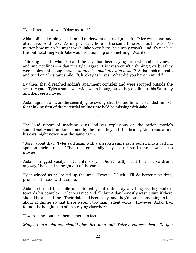Tyler lifted his brows. "Okay as in…?"

Aidan blinked rapidly as his mind underwent a paradigm shift. Tyler was smart and attractive. And here. As in, physically here in the same time zone as he was. No matter how much he might wish Jake were here, he simply wasn't, and it's not like this online…thing with Jake was a relationship or something. Was it?

Thinking back to what Kai and the guys had been saying for a while about vines – and internet lines – Aidan met Tyler's gaze. His eyes weren't a shining grey, but they were a pleasant enough hazel. *Maybe I should give him a shot?* Aidan took a breath and tried on a hesitant smile. "Uh, okay as in yes. What did you have in mind?"

By then, they'd reached Aidan's apartment complex and were stopped outside the security gate. Tyler's smile was wide when he suggested they do dinner this Saturday and then see a movie.

Aidan agreed, and, as the security gate swung shut behind him, he scolded himself for thinking first of the potential online time he'd be missing with Jake.

\*\*\*

The loud report of machine guns and car explosions on the action movie's soundtrack was thunderous, and by the time they left the theater, Aidan was afraid his ears might never hear the same again.

"Sorry about that," Tyler said again with a sheepish smile as he pulled into a parking spot on their street. "That theater usually plays better stuff than blow-'em-up movies."

Aidan shrugged easily. "Nah, it's okay. Didn't really need that left eardrum, anyway," he joked as he got out of the car.

Tyler winced as he locked up the small Toyota. "Ouch. I'll do better next time, promise," he said with a smile.

Aidan returned the smile on automatic, but didn't say anything as they walked towards his complex. Tyler was nice and all, but Aidan honestly wasn't sure if there should be a next time. Their date had been okay, and they'd found something to talk about at dinner so that there weren't too many silent voids. However, Aidan had found his thoughts too often straying elsewhere.

Towards the southern hemisphere, in fact.

*Maybe that's why you should give this thing with Tyler a chance, then. Do you*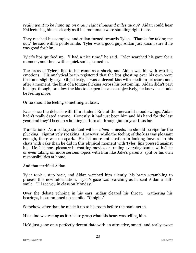*really want to be hung up on a guy eight thousand miles away?* Aidan could hear Kai lecturing him as clearly as if his roommate were standing right there.

They reached his complex, and Aidan turned towards Tyler. "Thanks for taking me out," he said with a polite smile. Tyler was a good guy; Aidan just wasn't sure if he was good for him.

Tyler's lips quirked up. "I had a nice time," he said. Tyler searched his gaze for a moment, and then, with a quick smile, leaned in.

The press of Tyler's lips to his came as a shock, and Aidan was hit with warring emotions. His analytical brain registered that the lips ghosting over his own were firm and slightly dry. Objectively, it was a decent kiss with medium pressure and, after a moment, the hint of a tongue flicking across his bottom lip. Aidan didn't part his lips, though, or allow the kiss to deepen because subjectively, he knew he should be feeling more.

Or he should be feeling something, at least.

Ever since the debacle with film student Eric of the mercurial mood swings, Aidan hadn't really dated anyone. Honestly, it had just been him and his hand for the last year, and they'd been in a holding pattern all through junior year thus far.

Translation? As a college student with – *ahem* – needs, he should be ripe for the plucking. Figuratively speaking. However, while the feeling of the kiss was pleasant enough, there was no spark. He felt more anticipation in looking forward to his chats with Jake than he did in this physical moment with Tyler, lips pressed against his. He felt more pleasure in chatting movies or trading everyday banter with Jake or even taking on more serious topics with him like Jake's parents' split or his own responsibilities at home.

And that terrified Aidan.

Tyler took a step back, and Aidan watched him silently, his brain scrambling to process this new information. Tyler's gaze was searching as he sent Aidan a halfsmile. "I'll see you in class on Monday."

Over the debate echoing in his ears, Aidan cleared his throat. Gathering his bearings, he summoned up a smile. "G'night."

Somehow, after that, he made it up to his room before the panic set in.

His mind was racing as it tried to grasp what his heart was telling him.

He'd just gone on a perfectly decent date with an attractive, smart, and really sweet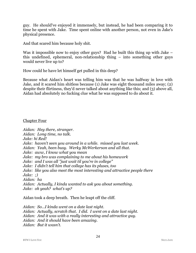guy. He should've enjoyed it immensely, but instead, he had been comparing it to time he spent with Jake. Time spent online with another person, not even in Jake's physical presence.

And that scared him because holy shit.

Was it impossible now to enjoy other guys? Had he built this thing up with Jake – this undefined, ephemeral, non-relationship thing – into something other guys would never live up to?

How could he have let himself get pulled in this deep?

Because what Aidan's heart was telling him was that he was halfway in love with Jake, and it scared him shitless because (1) Jake was eight thousand miles away; (2) despite their flirtiness, they'd never talked about anything like this; and (3) above all, Aidan had absolutely no fucking clue what he was supposed to do about it.

Chapter Four

*Aidan: Hey there, stranger. Aidan: Long time, no talk. Jake: hi Red! Jake: haven't seen you around in a while. missed you last week. Aidan: Yeah, been busy. Werky McWerkerson and all that. Jake: aww, I know what you mean Jake: my bro was complaining to me about his homework Jake: and I was all "just wait til you're in college" Jake: I didn't tell him that college has its pluses, too Jake: like you also meet the most interesting and attractive people there Jake: ;) Aidan: ha Aidan: Actually, I kinda wanted to ask you about something. Jake: oh yeah? what's up?*

Aidan took a deep breath. Then he leapt off the cliff.

*Aidan: So…I kinda went on a date last night. Aidan: Actually, scratch that. I did. I went on a date last night. Aidan: And it was with a really interesting and attractive guy. Aidan: And it should have been amazing. Aidan: But it wasn't.*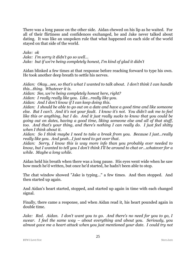There was a long pause on the other side. Aidan chewed on his lip as he waited. For all of their flirtiness and confidences exchanged, he and Jake never talked about dating. It was like an unspoken rule that what happened on each side of the world stayed on that side of the world.

*Jake: ok*

*Jake: I'm sorry it didn't go so well… Jake: but if we're being completely honest, I'm kind of glad it didn't*

Aidan blinked a few times at that response before reaching forward to type his own. He took another deep breath to settle his nerves.

*Aidan: Okay…see, so that's what I wanted to talk about. I don't think I can handle this…thing. Whatever it is.*

*Aidan: See, we're being completely honest here, right?*

*Aidan: I really really like you. Like…really like you.*

*Aidan: And I don't know if I can keep doing this.*

*Aidan: I should be able to go out on a date and have a good time and like someone else. But I can't. And it's not your fault. I know it's not. You didn't ask me to feel like this or anything, but I do. And it just really sucks to know that you could be going out on dates, having a good time, liking someone else and all of that stuff, too. And that's your thing, and there's nothing I can really do. I just feel shitty when I think about it.*

*Aidan: So I think maybe I need to take a break from you. Because I just…really really like you. And yeah…I just need to get over that.*

*Aidan: Sorry, I know this is way more info than you probably ever needed to know, but I wanted to tell you I don't think I'll be around to chat or…whatever for a while. Maybe a long while.*

Aidan held his breath when there was a long pause. His eyes went wide when he saw how much he'd written, but once he'd started, he hadn't been able to stop.

The chat window showed "Jake is typing…" a few times. And then stopped. And then started up again.

And Aidan's heart started, stopped, and started up again in time with each changed signal.

Finally, there came a response, and when Aidan read it, his heart pounded again in double time.

*Jake: Red. Aidan. I don't want you to go. And there's no need for you to go, I swear. I feel the same way – about everything and about you. Seriously, you almost gave me a heart attack when you just mentioned your date. I could try not*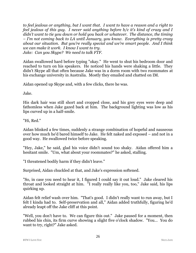*to feel jealous or anything, but I want that. I want to have a reason and a right to feel jealous of this guy. I never said anything before b/c it's kind of crazy and I didn't want to tie you down or hold you back or whatever. The distance, the timing – I'm not coming back to LA until January, you know. Everything is pretty crazy about our situation. But you're really special and we're smart people. And I think we can make it work. I know I want to try. Jake: Can you Skype? We need to talk FTF.*

Aidan swallowed hard before typing "okay." He went to shut his bedroom door and reached to turn on his speakers. He noticed his hands were shaking a little. They didn't Skype all that often because Jake was in a dorm room with two roommates at his exchange university in Australia. Mostly they emailed and chatted on IM.

Aidan opened up Skype and, with a few clicks, there he was.

Jake.

His dark hair was still short and cropped close, and his grey eyes were deep and fathomless when Jake gazed back at him. The background lighting was low as his lips curved up in a half-smile.

"Hi, Red."

Aidan blinked a few times, suddenly a strange combination of hopeful and nauseous over how much he'd bared himself to Jake. He felt naked and exposed – and not in a good way. He swallowed twice before speaking.

"Hey, Jake," he said, glad his voice didn't sound too shaky. Aidan offered him a hesitant smile. "Um, what about your roommates?" he asked, stalling.

"I threatened bodily harm if they didn't leave."

Surprised, Aidan chuckled at that, and Jake's expression softened.

"So, in case you need to hear it, I figured I could say it out loud." Jake cleared his throat and looked straight at him. "I really really like you, too," Jake said, his lips quirking up.

Aidan felt relief wash over him. "That's good. I didn't really want to run away, but I felt I kinda had to. Self-preservation and all," Aidan added truthfully, figuring he'd already leapt off the Jake cliff at this point.

"Well, you don't have to. We can figure this out." Jake paused for a moment, then rubbed his chin, its firm curve showing a slight five o'clock shadow. "You… You do want to try, right?" Jake asked.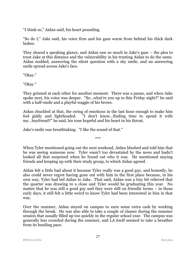"I think so," Aidan said, his heart pounding.

"So do I," Jake said, his voice firm and his gaze warm from behind his thick dark lashes.

They shared a speaking glance, and Aidan saw so much in Jake's gaze – the plea to trust Jake at this distance and the vulnerability in his trusting Aidan to do the same. Aidan nodded, answering the silent question with a shy smile, and an answering smile spread across Jake's face.

"Okay."

"Okay."

They grinned at each other for another moment. There was a pause, and when Jake spoke next, his voice was deeper. "So…what're you up to this Friday night?" he said with a half-smile and a playful waggle of his brows.

Aidan chuckled at that, the swing of emotions in the last hour enough to make him feel giddy and lightheaded. "I don't know…finding time to spend it with my…boyfriend?" he said, his tone hopeful and his heart in his throat.

Jake's smile was breathtaking. "I like the sound of that."

\*\*\*

When Tyler mentioned going out the next weekend, Aidan blushed and told him that he was seeing someone now. Tyler wasn't too devastated by the news and hadn't looked all that surprised when he found out who it was. He mentioned staying friends and keeping up with their study group, to which Aidan agreed.

Aidan felt a little bad about it because Tyler really was a good guy, and honestly, he also could never regret having gone out with him in the first place because, in his own way, Tyler had led Aidan to Jake. That said, Aidan was a tiny bit relieved that the quarter was drawing to a close and Tyler would be graduating this year. No matter that he was still a good guy and they were still on friendly terms – in those early days, it still felt a little weird to know Tyler had been interested in him in that way.

Over the summer, Aidan stayed on campus to earn some extra cash by working through the break. He was also able to take a couple of classes during the summer session that usually filled up too quickly in the regular school year. The campus was generally less crowded during the summer, and LA itself seemed to take a breather from its bustling pace.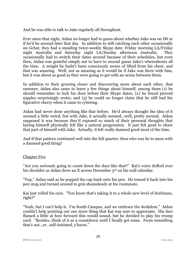And he was able to talk to Jake regularly all throughout.

Ever since that night, Aidan no longer had to guess about whether Jake was on IM or if he'd be around later that day. In addition to still catching each other occasionally on Gchat, they had a standing twice-weekly Skype date: Friday morning LA/Friday night Australia and Saturday night LA/Sunday afternoon Australia. They occasionally had to switch their dates around because of their schedules, but even then, Aidan was grateful simply not to have to second guess Jake's whereabouts all the time. A weight he hadn't been consciously aware of lifted from his chest, and that was amazing. Well, not as amazing as it would be if Jake was there with him, but it was about as good as they were going to get with an ocean between them.

In addition to their growing closer and discovering more about each other, that summer, Aidan also came to learn a few things about himself, among them (1) he should remember to lock his door before their Skype dates; (2) he found pierced nipples surprisingly erotic; and (3) he could no longer claim that he still had his figurative cherry when it came to cybering.

Aidan had never done anything like that before. He'd always thought the idea of it seemed a little weird, but with Jake, it actually seemed…well, pretty normal. Aidan supposed it was because they'd exposed so much of their personal thoughts that baring himself physically felt like a natural progression. It just felt good to share that part of himself with Jake. Actually, it felt really damned good most of the time.

And if that pattern continued well into the fall quarter, then who was he to mess with a damned good thing?

# Chapter Five

"Are you seriously going to count down the days like that?" Kai's voice drifted over his shoulder as Aidan drew an X across December 3<sup>rd</sup> on his wall calendar.

"Yup," Aidan said as he popped the cap back onto his pen. He tossed it back into his pen mug and turned around to grin shamelessly at his roommate.

Kai just rolled his eyes. "You know that's taking it to a whole new level of dorkiness, right?"

"Yeah, but I can't help it. I'm South Campus, and we embrace the dorkdom." Aidan couldn't help pointing out one more thing that Kai was sure to appreciate. His face flamed a little at how forward this would sound, but he decided to play his trump card. "Besides, think of it as a countdown until I finally get some. From something that's not…er…self-initiated, y'know."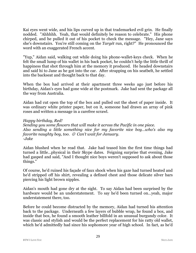Kai eyes went wide, and his lips curved up in that trademarked evil grin. He finally nodded. "Ahhhhh. Yeah, that would definitely be reason to celebrate." His phone chirped, and he pulled it out of his pocket to check the message. "Hey, Jane says she's downstairs. You're still coming on the *Targét* run, right?" He pronounced the word with an exaggerated French accent.

"Yup," Aidan said, walking out while doing his phone-wallet-keys check. When he felt the small lump of his wallet in his back pocket, he couldn't help the little thrill of happiness that shot through him at the memory it produced. He headed downstairs and said hi to Jane as he got into the car. After strapping on his seatbelt, he settled into the backseat and thought back to that day.

When the box had arrived at their apartment three weeks ago just before his birthday, Aidan's eyes had gone wide at the postmark. Jake had sent the package all the way from Australia.

Aidan had cut open the top of the box and pulled out the sheet of paper inside. It was ordinary white printer paper, but on it, someone had drawn an array of pink roses and written a message in a carefree scrawl.

### *Happy birthday, Red!*

*Sending you some flowers that will make it across the Pacific in one piece. Also sending a little something nice for my favorite nice boy…who's also my favorite naughty boy, too. Can't wait for January. -Jake*

Aidan blushed when he read that. Jake had teased him the first time things had turned a little…physical in their Skype dates. Feigning surprise that evening, Jake had gasped and said, "And I thought nice boys weren't supposed to ask about those things."

Of course, he'd ruined his façade of faux shock when his gaze had turned heated and he'd stripped off his shirt, revealing a defined chest and those delicate silver bars piercing his light brown nipples.

Aidan's mouth had gone dry at the sight. To say Aidan had been surprised by the hardware would be an understatement. To say he'd been turned on…yeah, major understatement there, too.

Before he could become distracted by the memory, Aidan had turned his attention back to the package. Underneath a few layers of bubble wrap, he found a box, and inside that box, he found a smooth leather billfold in an unusual burgundy color. It was classic and stylish and would be the perfect replacement for his ratty old wallet, which he'd admittedly had since his sophomore year of high school. In fact, as he'd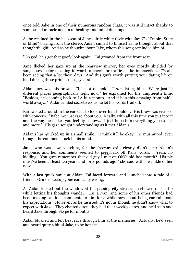once told Jake in one of their numerous random chats, it was still intact thanks to some small miracle and an unhealthy amount of duct tape.

As he reclined in the backseat of Jane's little white Civic with Jay-Z's "Empire State of Mind" blaring from the stereo, Aidan smiled to himself as he thought about that thoughtful gift. And as he thought about Jake, whom this song reminded him of.

"Oh god, he's got that goofy look again," Kai groaned from the front seat.

Jane flicked her gaze up at the rearview mirror, her eyes mostly shielded by sunglasses, before leaning forward to check for traffic at the intersection. "Yeah, been seeing that a lot these days. And this guy's worth putting your dating life on hold during these prime college years?"

Aidan furrowed his brows. "It's not on hold. I *am* dating him. We're just in different places geographically right now," he explained for the umpteenth time. "Besides, he's coming back to LA in a month. And if he's this amazing from half a world away…" Aidan smiled secretively as he let his words trail off.

Kai twisted around in the car seat to look over his shoulder. His brow was creased with concern. "Babe, we just care about you. Really, with all this time you put into it and the way he makes you feel right now… I just hope he's everything you expect and more." His gaze sought understanding as it met Aidan's.

Aidan's lips quirked up in a small smile. "I think it'll be okay," he murmured, even though the comment stuck in his mind.

Jane, who was now searching for the freeway exit, clearly didn't hear Aidan's response, and her comments seemed to piggyback off Kai's words. "Yeah, no kidding. You guys remember that old guy I met on OKCupid last month? His pic must've been at least ten years and forty pounds ago," she said with a wrinkle of her nose.

With a last quick smile at Aidan, Kai faced forward and launched into a tale of a friend's Grindr meetup gone comically wrong.

As Aidan looked out the window at the passing city streets, he chewed on his lip while letting his thoughts wander. Kai, Bryan, and some of his other friends had been making cautious comments to him for a while now about being careful about his expectations. However, as he insisted, it's not as though he didn't know what to expect with Jake. They chatted often, they had their weekly dates, and he'd seen and heard Jake through Skype for months.

Aidan blushed and felt heat race through him at the memories. Actually, he'd seen and heard quite a bit of Jake, to be honest.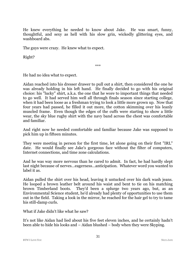He knew everything he needed to know about Jake. He was smart, funny, thoughtful, and sexy as hell with his slow grin, wickedly glittering eyes, and washboard abs.

The guys were crazy. He knew what to expect.

Right?

\*\*\*

He had no idea what to expect.

Aidan reached into his dresser drawer to pull out a shirt, then considered the one he was already holding in his left hand. He finally decided to go with his original choice: his "lucky" shirt, a.k.a. the one that he wore to important things that needed to go well. It had served him well all through finals season since starting college, when it had been loose as a freshman trying to look a little more grown up. Now that four years had passed, he filled it out more, the cotton skimming over his leanly muscled frame. Even though the edges of the cuffs were starting to show a little wear, the sky blue rugby shirt with the navy band across the chest was comfortable and familiar.

And right now he needed comfortable and familiar because Jake was supposed to pick him up in fifteen minutes.

They were meeting in person for the first time, let alone going on their first "IRL" date. He would finally see Jake's gorgeous face without the filter of computers, Internet connections, and time zone calculations.

And he was way more nervous than he cared to admit. In fact, he had hardly slept last night because of nerves…eagerness…anticipation. Whatever word you wanted to label it as.

Aidan pulled the shirt over his head, leaving it untucked over his dark wash jeans. He looped a brown leather belt around his waist and bent to tie on his matching brown Timberland boots. They'd been a splurge two years ago, but, as an Environmental Science student, he'd already had plenty of opportunities to use them out in the field. Taking a look in the mirror, he reached for the hair gel to try to tame his still-damp curls.

What if Jake didn't like what he saw?

It's not like Aidan had lied about his five feet eleven inches, and he certainly hadn't been able to hide his looks and – Aidan blushed – body when they were Skyping.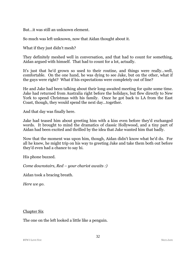But…it was still an unknown element.

So much was left unknown, now that Aidan thought about it.

What if they just didn't mesh?

They definitely meshed well in conversation, and that had to count for something, Aidan argued with himself. That had to count for a lot, actually.

It's just that he'd grown so used to their routine, and things were really…well, comfortable. On the one hand, he was dying to see Jake, but on the other, what if the guys were right? What if his expectations were completely out of line?

He and Jake had been talking about their long-awaited meeting for quite some time. Jake had returned from Australia right before the holidays, but flew directly to New York to spend Christmas with his family. Once he got back to LA from the East Coast, though, they would spend the next day…together.

And that day was finally here.

Jake had teased him about greeting him with a kiss even before they'd exchanged words. It brought to mind the dramatics of classic Hollywood, and a tiny part of Aidan had been excited and thrilled by the idea that Jake wanted him that badly.

Now that the moment was upon him, though, Aidan didn't know what he'd do. For all he knew, he might trip on his way to greeting Jake and take them both out before they'd even had a chance to say hi.

His phone buzzed.

*Come downstairs, Red – your chariot awaits :)*

Aidan took a bracing breath.

*Here we go.*

#### Chapter Six

The one on the left looked a little like a penguin.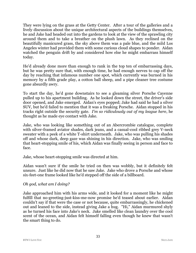They were lying on the grass at the Getty Center. After a tour of the galleries and a lively discussion about the unique architectural aspects of the buildings themselves, he and Jake had headed out into the gardens to look at the view of the sprawling city around them and to take a breather on the plush lawn. As they reclined on the beautifully manicured grass, the sky above them was a pale blue, and the mild Los Angeles winter had provided them with some curious cloud shapes to ponder. Aidan watched the penguin drift by and considered how else he might embarrass himself today.

He'd already done more than enough to rank in the top ten of embarrassing days, but he was pretty sure that, with enough time, he had enough nerves to cap off the day by reaching that infamous number one spot, which currently was burned in his memory by a fifth grade play, a cotton ball sheep, and a pipe cleaner tree costume gone absurdly awry.

To start the day, he'd gone downstairs to see a gleaming silver Porsche Cayenne pulled up to his apartment building. As he looked down the street, the driver's side door opened, and Jake emerged. Aidan's eyes popped; Jake had said he had a silver SUV, but he'd failed to mention that it was a freaking Porsche. Aidan stopped in his tracks right outside the security gate. *I'm so ridiculously out of my league here*, he thought as he made eye contact with Jake.

Jake, who was looking like something out of an Abercrombie catalogue, complete with silver-framed aviator shades, dark jeans, and a casual-cool ribbed grey V-neck sweater with a peek of a white T-shirt underneath. Jake, who was pulling his shades off and whose dark, deep gaze was shining in his direction. Jake, who was smiling that heart-stopping smile of his, which Aidan was finally seeing in person and face to face.

Jake, whose heart-stopping smile was directed at him.

Aidan wasn't sure if the smile he tried on then was wobbly, but it definitely felt unsure. Just like he did now that he saw Jake. Jake who drove a Porsche and whose six-feet-one frame looked like he'd stepped off the side of a billboard.

# *Oh god, what am I doing?*

Jake approached him with his arms wide, and it looked for a moment like he might fulfill that no-greeting-just-kiss-me-now promise he'd teased about earlier. Aidan couldn't say if that were the case or not because, quite embarrassingly, he chickened out and leaned to the side, instead giving Jake a hug. "Hi," Aidan murmured shyly as he turned his face into Jake's neck. Jake smelled like clean laundry over the cool scent of the ocean, and Aidan felt himself falling even though he knew that wasn't the smart thing to do.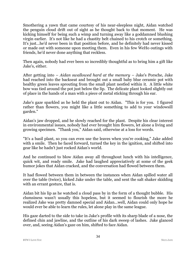Smothering a yawn that came courtesy of his near-sleepless night, Aidan watched the penguin cloud drift out of sight as he thought back to that moment. He was kicking himself for being such a wimp and turning away like a goddamned blushing virgin earlier. It's not like he had a chastity belt chained to his crotch or something. It's just…he'd never been in that position before, and he definitely had never kissed or made out with someone upon meeting them. Even in his few WeHo outings with friends, he'd never done anything that reckless.

Then again, nobody had ever been so incredibly thoughtful as to bring him a gift like Jake's, either.

After getting into – *Aidan swallowed hard at the memory* – Jake's Porsche, Jake had reached into the backseat and brought out a small baby blue ceramic pot with healthy green leaves sprouting from the small plant nestled within it. A little white bow was tied around the pot just below the lip. The delicate plant looked slightly out of place in the hands of a man with a piece of metal sticking through his ear.

Jake's gaze sparkled as he held the plant out to Aidan. "This is for you. I figured rather than flowers, you might like a little something to add to your windowsill garden."

Aidan's jaw dropped, and he slowly reached for the plant. Despite his clear interest in environmental issues, nobody had ever brought him flowers, let alone a living and growing specimen. "Thank you," Aidan said, otherwise at a loss for words.

"It's a basil plant, so you can even use the leaves when you're cooking," Jake added with a smile. Then he faced forward, turned the key in the ignition, and shifted into gear like he hadn't just rocked Aidan's world.

And he continued to blow Aidan away all throughout lunch with his intelligence, quick wit, and ready smile. Jake had laughed appreciatively at some of the geek humor jokes that Aidan cracked, and the conversation had flowed between them.

It had flowed between them in between the instances when Aidan spilled water all over the table (twice), kicked Jake under the table, and sent the salt shaker skidding with an errant gesture, that is.

Aidan bit his lip as he watched a cloud pass by in the form of a thought bubble. His clumsiness wasn't usually this hopeless, but it seemed to flourish the more he realized Jake was pretty damned special and Aidan…well, Aidan could only hope he would ever be able to learn the rules, let alone play in the same league.

His gaze darted to the side to take in Jake's profile with its sharp blade of a nose, the defined chin and jawline, and the outline of his dark sweep of lashes. Jake glanced over, and, seeing Aidan's gaze on him, shifted to face Aidan.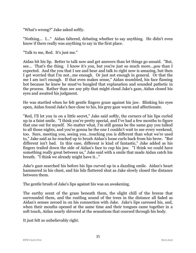"What's wrong?" Jake asked softly.

"Nothing… I…" Aidan faltered, debating whether to say anything. He didn't even know if there really was anything to say in the first place.

"Talk to me, Red. It's just me."

Aidan bit his lip. Better to talk now and get answers than let things go unsaid. "But, see… That's the thing. I know it's you, but you're just so much more…*you* than I expected. And the you that I see and hear and talk to right now is amazing, but then I get worried that I'm not…me enough. Or just not enough in general. Or that the me I am isn't enough. If that even makes sense," Aidan mumbled, his face flaming hot because he knew he must've bungled that explanation and sounded pathetic in the process. Rather than see any pity that might cloud Jake's gaze, Aidan closed his eyes and awaited his judgment.

He was startled when he felt gentle fingers graze against his jaw. Blinking his eyes open, Aidan found Jake's face close to his, his grey gaze warm and affectionate.

"Red, I'll let you in on a little secret," Jake said softly, the corners of his lips curled up in a faint smile. "I think you're pretty special, and I've had a few months to figure that one out for myself. No matter what, I'm still gonna be the same guy you talked to all those nights, and you're gonna be the one I couldn't wait to see every weekend, too. Sure, meeting you, seeing you…touching you is different than what we're used to," Jake said as he reached up to brush Aidan's loose curls back from his brow. "But different isn't bad. In this case, different is kind of fantastic," Jake added as his fingers trailed down the side of Aidan's face to cup his jaw. "I think we could have something really great between us," Jake said with a smile that made Aidan catch his breath. "I think we already might have it…"

Jake's gaze searched his before his lips curved up in a dazzling smile. Aidan's heart hammered in his chest, and his lids fluttered shut as Jake slowly closed the distance between them.

The gentle brush of Jake's lips against his was an awakening.

The earthy scent of the grass beneath them, the slight chill of the breeze that surrounded them, and the rustling sound of the trees in the distance all faded as Aidan's senses zeroed in on his connection with Jake. Jake's lips caressed his, and, when their mouths opened at the same time and their tongues came together in a soft touch, Aidan nearly shivered at the sensations that coursed through his body.

It just felt so unbelievably right.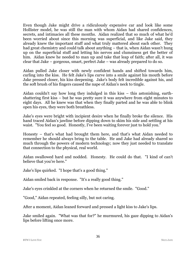Even though Jake might drive a ridiculously expensive car and look like some Hollister model, he was still the man with whom Aidan had shared confidences, secrets, and intimacies all these months. Aidan realized that so much of what he'd been worried about since this morning was superficial, and like Jake said, they already knew the important stuff and what truly mattered about each other. They had great chemistry and could talk about anything – that is, when Aidan wasn't hung up on the superficial stuff and letting his nerves and clumsiness get the better of him. Aidan knew he needed to man up and take that leap of faith; after all, it was clear that Jake – gorgeous, smart, perfect Jake – was already prepared to do so.

Aidan pulled Jake closer with newly confident hands and shifted towards him, curling into the kiss. He felt Jake's lips curve into a smile against his mouth before Jake pressed closer, his kiss deepening. Jake's body felt incredible against his, and the soft brush of his fingers caused the nape of Aidan's neck to tingle.

Aidan couldn't say how long they indulged in this kiss – this astonishing, earthshattering first kiss – but he was pretty sure it was anywhere from eight minutes to eight days. All he knew was that when they finally parted and he was able to blink open his eyes, they were both breathless.

Jake's eyes were bright with incipient desire when he finally broke the silence. His hand traced Aidan's jawline before dipping down to skim his side and settling at his waist. "You feel so good. Honestly, I've been waiting forever just to hold you."

Honesty – that's what had brought them here, and that's what Aidan needed to remember he should always bring to the table. He and Jake had already shared so much through the powers of modern technology; now they just needed to translate that connection to the physical, real world.

Aidan swallowed hard and nodded. Honesty. He could do that. "I kind of can't believe that you're here."

Jake's lips quirked. "I hope that's a good thing."

Aidan smiled back in response. "It's a really good thing."

Jake's eyes crinkled at the corners when he returned the smile. "Good."

"Good," Aidan repeated, feeling silly, but not caring.

After a moment, Aidan leaned forward and pressed a light kiss to Jake's lips.

Jake smiled again. "What was that for?" he murmured, his gaze dipping to Aidan's lips before lifting once more.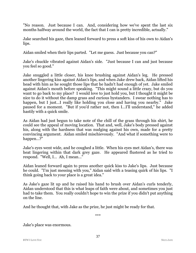"No reason. Just because I can. And, considering how we've spent the last six months halfway around the world, the fact that I can is pretty incredible, actually."

Jake searched his gaze, then leaned forward to press a soft kiss of his own to Aidan's lips.

Aidan smiled when their lips parted. "Let me guess. Just because you can?"

Jake's chuckle vibrated against Aidan's side. "Just because I can and just because you feel so good."

Jake snuggled a little closer, his knee brushing against Aidan's leg. He pressed another lingering kiss against Aidan's lips, and when Jake drew back, Aidan lifted his head with him as he sought those lips that he hadn't had enough of yet. Jake smiled against Aidan's mouth before speaking. "This might sound a little crazy, but do you want to go back to my place? I would love to just hold you, but I thought it might be nice to do it without the damp grass and curious bystanders. I swear nothing has to happen, but I just...I really like holding you close and having you nearby." Jake paused for a moment. "But if you'd rather not, then I…I'll understand," he added hastily with a quick smile.

As Aidan had just begun to take note of the chill of the grass through his shirt, he could see the appeal of moving location. That and, well, Jake's body pressed against his, along with the hardness that was nudging against his own, made for a pretty convincing argument. Aidan smiled mischievously. "And what if something were to happen…?"

Jake's eyes went wide, and he coughed a little. When his eyes met Aidan's, there was heat lingering within that dark grey gaze. He appeared flustered as he tried to respond. "Well, I… Ah, I mean…"

Aidan leaned forward again to press another quick kiss to Jake's lips. Just because he could. "I'm just messing with you," Aidan said with a teasing quirk of his lips. "I think going back to your place is a great idea."

As Jake's gaze lit up and he raised his hand to brush over Aidan's curls tenderly, Aidan understood that this is what leaps of faith were about, and sometimes you just had to take them. You really couldn't hope to win the prize if you didn't put anything on the line.

And he thought that, with Jake as the prize, he just might be ready for that.

\*\*\*

Jake's place was enormous.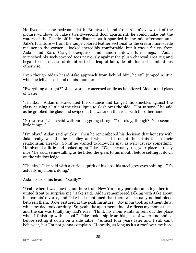He lived in a one bedroom flat in Brentwood, and from Aidan's view out of the picture windows of Jake's twenty-second floor apartment, he could make out the waters of the Pacific off in the distance as it sparkled in the mid-afternoon sun. Jake's furniture – from the taupe colored leather sectional to the cream microsuede recliner in the corner – looked incredibly comfortable, but it was a far cry from Aidan and Kai's Craigslist-acquired and hand-me-down furnishings. Aidan scrunched his sock-covered toes nervously against the plush charcoal area rug and began to feel niggles of doubt as to his leap of faith, despite his earlier intentions otherwise.

Even though Aidan heard Jake approach from behind him, he still jumped a little when he felt Jake's hand on his shoulder.

"Everything all right?" Jake wore a concerned smile as he offered Aidan a tall glass of water.

"Thanks." Aidan miscalculated the distance and banged his knuckles against the glass, causing a little of the clear liquid to slosh over the side. "I'm so sorry," he said as he grabbed the glass and swiped at the water on the sides with his other hand.

"No worries," Jake said with an easygoing shrug. "You okay, though? You seem a little jumpy."

"I'm okay," Aidan said quickly. Then he remembered his decision that honesty with Jake really was the best policy and what had brought them this far in their relationship already. So…if he wanted to know, he may as well just say something. He pivoted a little and looked up at Jake. "Well…actually, uh, your place is really nice," he said, semi-stalling as he lifted the glass to his mouth before setting it down on the window ledge.

"Thanks," Jake said with a curious quirk of his lips, his steel grey eyes shining. "It's actually my mom's doing."

Aidan cocked his head. "Really?"

"Yeah, when I was moving out here from New York, my parents came together in a united front to surprise me," Jake said. Aidan remembered talking with Jake about his parents' divorce, and Jake had mentioned that there was actually no bad blood between them. Jake gestured at the posh furniture. "My mom took apartment duty, while my dad took car duty. So, yeah, the apartment kind of reflects my mom's taste, and the car was totally my dad's idea. Think my mom wants to rent out the place when I finish up with school." Jake took a sip from his glass of water and smiled before setting it down on a side table. "Almost four years later and I still can't believe it, but I'm not gonna complain. Honestly, as long as it's a roof over my head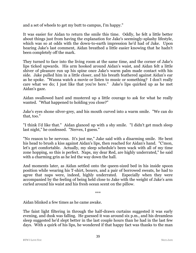and a set of wheels to get my butt to campus, I'm happy."

It was easier for Aidan to return the smile this time. Oddly, he felt a little better about things just from having the explanation for Jake's seemingly-splashy lifestyle, which was so at odds with the down-to-earth impression he'd had of Jake. Upon hearing Jake's last comment, Aidan breathed a little easier knowing that he hadn't been completely off the mark.

They turned to face into the living room at the same time, and the corner of Jake's lips ticked upwards. His arm hooked around Aidan's waist, and Aidan felt a little shiver of pleasure run up his spine once Jake's warm palm made contact with his side. Jake pulled him in a little closer, and his breath feathered against Aidan's ear as he spoke. "Wanna watch a movie or listen to music or something? I don't really care what we do; I just like that you're here." Jake's lips quirked up as he met Aidan's gaze.

Aidan swallowed hard and mustered up a little courage to ask for what he really wanted. "What happened to holding you close?"

Jake's eyes shone silver-grey, and his mouth curved into a warm smile. "We can do that, too."

"I think I'd like that." Aidan glanced up with a shy smile. "I didn't get much sleep last night," he confessed. "Nerves, I guess."

"No reason to be nervous. It's just me," Jake said with a disarming smile. He bent his head to brush a kiss against Aidan's lips, then reached for Aidan's hand. "C'mon, let's get comfortable. Actually, my sleep schedule's been wack with all of my time zone hopping, so this is perfect. Naps, my dear Red, are highly underrated," he said with a charming grin as he led the way down the hall.

And moments later, as Aidan settled onto the queen-sized bed in his inside spoon position while wearing his T-shirt, boxers, and a pair of borrowed sweats, he had to agree that naps were, indeed, highly underrated. Especially when they were accompanied by the feeling of being held close to Jake with the weight of Jake's arm curled around his waist and his fresh ocean scent on the pillow.

\*\*\*

Aidan blinked a few times as he came awake.

The faint light filtering in through the half-drawn curtains suggested it was early evening, and dusk was falling. He guessed it was around six p.m., and his dreamless sleep suggested he'd slept better in the last couple hours than he had in the last few days. With a quirk of his lips, he wondered if that happy fact was thanks to the man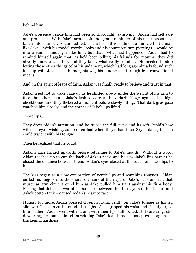behind him.

Jake's presence beside him had been so thoroughly satisfying. Aidan had felt safe and protected. With Jake's arm a soft and gentle reminder of his nearness as he'd fallen into slumber, Aidan had felt…cherished. It was almost a miracle that a man like Jake – with his model-worthy looks and his counterculture piercings – would be into a vanilla kinda guy like him, but that's what had happened. Aidan had to remind himself again that, as he'd been telling his friends for months, they did already know each other, and they knew what really counted. He needed to stop letting those other things color his judgment, which had long ago already found such kinship with Jake – his humor, his wit, his kindness – through less conventional means.

And, in the spirit of leaps of faith, Aidan was finally ready to believe and trust in that.

Aidan tried not to wake Jake up as he shifted slowly under the weight of his arm to face the other man. Jake's lashes were a thick dark fringe against his high cheekbones, and they flickered a moment before slowly lifting. That dark grey gaze watched him closely, and the corner of Jake's lips lifted.

Those lips…

They drew Aidan's attention, and he traced the full curve and its soft Cupid's bow with his eyes, wishing, as he often had when they'd had their Skype dates, that he could trace it with his tongue.

Then he realized that he could.

Aidan's gaze flicked upwards before returning to Jake's mouth. Without a word, Aidan reached up to cup the back of Jake's neck, and he saw Jake's lips part as he closed the distance between them. Aidan's eyes closed at the touch of Jake's lips to his.

The kiss began as a slow exploration of gentle lips and searching tongues. Aidan curled his fingers into the short soft hairs at the nape of Jake's neck and felt that muscular arm circle around him as Jake pulled him tight against his firm body. Feeling that delicious warmth – so close between the thin layers of his T-shirt and Jake's cotton tank – caused Aidan's heart to race.

Hungry for more, Aidan pressed closer, sucking gently on Jake's tongue as his leg slid over Jake's to curl around his thighs. Jake gripped his waist and silently urged him farther. Aidan went with it, and with their lips still locked, still caressing, still devouring, he found himself straddling Jake's lean hips, his ass pressed against a thickening hardness.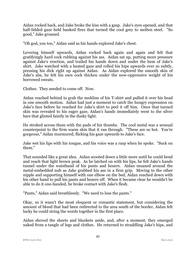Aidan rocked back, and Jake broke the kiss with a gasp. Jake's eyes opened, and that half-lidded gaze held banked fires that turned the cool grey to molten steel. "So good," Jake groaned.

"Oh god, you too," Aidan said as his hands explored Jake's chest.

Levering himself upwards, Aidan rocked back again and again and felt that gratifyingly hard cock rubbing against his ass. Aidan sat up, putting more pressure against Jake's erection, and trailed his hands down and under the hem of Jake's shirt. Jake watched with a heated gaze and rolled his hips upwards ever so subtly, pressing his dick right up against Aidan. As Aidan explored the smooth skin of Jake's abs, he felt his own cock thicken under the now-oppressive weight of his borrowed sweats.

Clothes. They needed to come off. Now.

Aidan reached behind to grab the neckline of his T-shirt and pulled it over his head in one smooth motion. Aidan had just a moment to catch the hungry expression on Jake's face before he reached for Jake's shirt to peel it off him. Once that tanned skin was revealed to his eager gaze, Aidan's hands immediately went to the silver bars that glinted faintly in the dusky light.

He stroked across them with the pads of his thumbs. The cool metal was a sensual counterpoint to the firm warm skin that it ran through. "These are so hot. You're gorgeous," Aidan murmured, flicking his gaze upwards to Jake's face.

Jake wet his lips with his tongue, and his voice was a rasp when he spoke. "Suck on them."

That sounded like a great idea. Aidan scooted down a little more until he could bend and reach that light brown peak. As he latched on with his lips, he felt Jake's hands tunnel under the waistband of his pants and boxers. Aidan moaned around the metal-embedded nub as Jake grabbed his ass in a firm grip. Moving to the other nipple and supporting himself with one elbow on the bed, Aidan reached down with his other hand to pull his pants and boxers off. When it became clear he wouldn't be able to do it one-handed, he broke contact with Jake's flesh.

"Pants," Aidan said breathlessly. "We need to lose the pants."

Okay, so it wasn't the most eloquent or romantic statement, but considering the amount of blood that had been redirected to the area south of the border, Aidan felt lucky he could string the words together in the first place.

Aidan shoved the sheets and blankets aside, and, after a moment, they emerged naked from a tangle of legs and clothes. He returned to straddling Jake's hips, and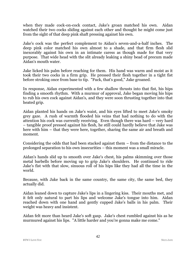when they made cock-on-cock contact, Jake's groan matched his own. Aidan watched their two cocks sliding against each other and thought he might come just from the sight of that deep pink shaft pressing against his own.

Jake's cock was the perfect complement to Aidan's seven-and-a-half inches. The deep pink color matched his own almost to a shade, and that firm flesh slid inexorably against his own in an intimate caress as though made for that very purpose. That wide head with the slit already leaking a shiny bead of precum made Aidan's mouth water.

Jake licked his palm before reaching for them. His hand was warm and moist as it took their two cocks in a firm grip. He pressed their flesh together in a tight fist before stroking once from base to tip. "Fuck, that's good," Jake groaned.

In response, Aidan experimented with a few shallow thrusts into that fist, his hips finding a smooth rhythm. With a murmur of approval, Jake began moving his hips to rub his own cock against Aidan's, and they were soon thrusting together into that heated grip.

Aidan planted his hands on Jake's waist, and his eyes lifted to meet Jake's smoky grey gaze. A rush of warmth flooded his veins that had nothing to do with the attention his cock was currently receiving. Even though there was hard – very hard – tangible proof pressed against his flesh, he still could hardly believe that Jake was here with him – that they were here, together, sharing the same air and breath and moment.

Considering the odds that had been stacked against them – from the distance to the prolonged separation to his own insecurities – this moment was a small miracle.

Aidan's hands slid up to smooth over Jake's chest, his palms skimming over those metal barbells before moving up to grip Jake's shoulders. He continued to ride Jake's fist with that slow, sinuous roll of his hips like they had all the time in the world.

Because, with Jake back in the same country, the same city, the same bed, they actually did.

Aidan leaned down to capture Jake's lips in a lingering kiss. Their mouths met, and it felt only natural to part his lips and welcome Jake's tongue into him. Aidan reached down with one hand and gently cupped Jake's balls in his palm. Their weight was heavy and insistent.

Aidan felt more than heard Jake's soft gasp. Jake's chest rumbled against his as he murmured against his lips. "A little harder and you're gonna make me come."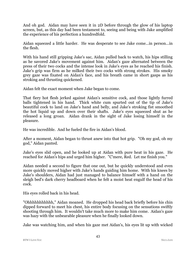And oh god. Aidan may have seen it in 2D before through the glow of his laptop screen, but, as this day had been testament to, seeing and being with Jake amplified the experience of his perfection a hundredfold.

Aidan squeezed a little harder. He was desperate to see Jake come…in person…in the flesh.

With his hand still gripping Jake's sac, Aidan pulled back to watch, his hips stilling as he savored Jake's movement against him. Aidan's gaze alternated between the press of their two cocks and the intense look in Jake's eyes as he reached his finish. Jake's grip was firm as he milked their two cocks with strong strokes. His smoky grey gaze was fixated on Aidan's face, and his breath came in short gasps as his stroking and thrusting quickened.

Aidan felt the exact moment when Jake began to come.

That fiery hot flesh jerked against Aidan's sensitive cock, and those lightly furred balls tightened in his hand. Thick white cum spurted out of the tip of Jake's beautiful cock to land on Jake's hand and belly, and Jake's stroking fist smoothed the hot liquid up and down over their shafts. Jake's eyes squeezed shut as he released a long groan. Aidan drank in the sight of Jake losing himself in the pleasure.

He was incredible. And he fueled the fire in Aidan's blood.

After a moment, Aidan began to thrust anew into that hot grip. "Oh my god, oh my god," Aidan panted.

Jake's eyes slid open, and he looked up at Aidan with pure heat in his gaze. He reached for Aidan's hips and urged him higher. "C'mere, Red. Let me finish you."

Aidan needed a second to figure that one out, but he quickly understood and even more quickly moved higher with Jake's hands guiding him home. With his knees by Jake's shoulders, Aidan had just managed to balance himself with a hand on the sleigh bed's dark cherry headboard when he felt a moist heat engulf the head of his cock.

His eyes rolled back in his head.

"Ohhhhhhhhhhh," Aidan moaned. He dropped his head back briefly before his chin dipped forward to meet his chest, his entire body focusing on the sensations swiftly shooting through him. It wouldn't take much more to make him come. Aidan's gaze was hazy with the unbearable pleasure when he finally looked down.

Jake was watching him, and when his gaze met Aidan's, his eyes lit up with wicked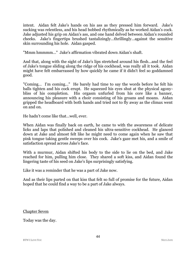intent. Aidan felt Jake's hands on his ass as they pressed him forward. Jake's sucking was relentless, and his head bobbed rhythmically as he worked Aidan's cock. Jake adjusted his grip on Aidan's ass, and one hand delved between Aidan's rounded cheeks. Jake's fingertips brushed tantalizingly…thrillingly…against the sensitive skin surrounding his hole. Aidan gasped.

"Mmm hmmmm…" Jake's affirmation vibrated down Aidan's shaft.

And that, along with the sight of Jake's lips stretched around his flesh…and the feel of Jake's tongue sliding along the ridge of his cockhead, was really all it took. Aidan might have felt embarrassed by how quickly he came if it didn't feel so goddamned good.

"Coming… I'm coming…" He barely had time to say the words before he felt his balls tighten and his cock erupt. He squeezed his eyes shut at the physical agonybliss of his completion. His orgasm unfurled from his core like a banner, announcing his pleasure with a choir consisting of his groans and moans. Aidan gripped the headboard with both hands and tried not to fly away as the climax went on and on.

He hadn't come like that…well, ever.

When Aidan was finally back on earth, he came to with the awareness of delicate licks and laps that polished and cleaned his ultra-sensitive cockhead. He glanced down at Jake and almost felt like he might need to come again when he saw that pink tongue taking gentle sweeps over his cock. Jake's gaze met his, and a smile of satisfaction spread across Jake's face.

With a murmur, Aidan shifted his body to the side to lie on the bed, and Jake reached for him, pulling him close. They shared a soft kiss, and Aidan found the lingering taste of his seed on Jake's lips surprisingly satisfying.

Like it was a reminder that he was a part of Jake now.

And as their lips parted on that kiss that felt so full of promise for the future, Aidan hoped that he could find a way to be a part of Jake always.

Chapter Seven

Today was the day.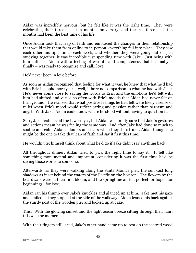Aidan was incredibly nervous, but he felt like it was the right time. They were celebrating their three-slash-ten month anniversary, and the last three-slash-ten months had been the best time of his life.

Once Aidan took that leap of faith and embraced the changes in their relationship that would take them from online to in person, everything fell into place. They saw each other multiple times each week, and whether they were going out or just studying together, it was incredible just spending time with Jake. Just being with him suffused Aidan with a feeling of warmth and completeness that he finally – finally – was ready to recognize and call…love.

He'd never been in love before.

As soon as Aidan recognized that feeling for what it was, he knew that what he'd had with Eric in sophomore year – well, it bore no comparison to what he had with Jake. He'd never come close to saying the words to Eric, and the emotions he'd felt with him had shifted and varied so often with Eric's moods that Aidan had never felt on firm ground. He realized that what positive feelings he had felt were likely a sense of relief when Eric's mood would reflect caring and passion rather than sarcasm and angst. With Jake, Aidan could know where he stood without having to question it.

Sure, Jake hadn't said the L word yet, but Aidan was pretty sure that Jake's gestures and actions meant he was feeling the same way. And after Jake had done so much to soothe and calm Aidan's doubts and fears when they'd first met, Aidan thought he might be the one to take that leap of faith and say it first this time.

He wouldn't let himself think about what he'd do if Jake didn't say anything back.

All throughout dinner, Aidan tried to pick the right time to say it. It felt like something monumental and important, considering it was the first time he'd be saying those words to someone.

Afterwards, as they were walking along the Santa Monica pier, the sun cast long shadows as it set behind the waters of the Pacific on the horizon. The flowers by the boardwalk were in their first bloom, and the springtime air felt perfect for hope…for beginnings…for love.

Aidan ran his thumb over Jake's knuckles and glanced up at him. Jake met his gaze and smiled as they stopped at the side of the walkway. Aidan leaned his back against the sturdy post of the wooden pier and looked up at Jake.

This. With the glowing sunset and the light ocean breeze sifting through their hair, this was the moment.

With their fingers still laced, Jake's other hand came up to rest on the scarred wood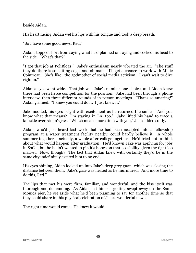beside Aidan.

His heart racing, Aidan wet his lips with his tongue and took a deep breath.

"So I have some good news, Red."

Aidan stopped short from saying what he'd planned on saying and cocked his head to the side. "What's that?"

"I got that job at PoliBlogs!" Jake's enthusiasm nearly vibrated the air. "The stuff they do there is so cutting edge, and oh man – I'll get a chance to work with Millie Cointreau! She's like…the godmother of social media activism. I can't wait to dive right in."

Aidan's eyes went wide. That job was Jake's number one choice, and Aidan knew there had been fierce competition for the position. Jake had been through a phone interview, then three different rounds of in-person meetings. "That's so amazing!" Aidan grinned. "I knew you could do it. I just knew it."

Jake nodded, his eyes bright with excitement as he returned the smile. "And you know what that means? I'm staying in LA, too." Jake lifted his hand to trace a knuckle over Aidan's jaw. "Which means more time with you," Jake added softly.

Aidan, who'd just heard last week that he had been accepted into a fellowship program at a water treatment facility nearby, could hardly believe it. A whole summer together – actually, a whole after-college together. He'd tried not to think about what would happen after graduation. He'd known Jake was applying for jobs in SoCal, but he hadn't wanted to pin his hopes on that possibility given the tight job market. Now, though? The fact that Aidan knew with certainty they'd be in the same city indefinitely excited him to no end.

His eyes shining, Aidan looked up into Jake's deep grey gaze…which was closing the distance between them. Jake's gaze was heated as he murmured, "And more time to do this, Red."

The lips that met his were firm, familiar, and wonderful, and the kiss itself was thorough and demanding. As Aidan felt himself getting swept away on the Santa Monica pier, he set aside what he'd been planning to say for another time so that they could share in this physical celebration of Jake's wonderful news.

The right time would come. He knew it would.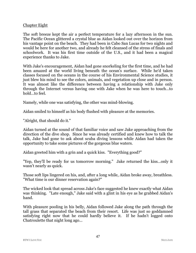### Chapter Eight

The soft breeze kept the air a perfect temperature for a lazy afternoon in the sun. The Pacific Ocean glittered a crystal blue as Aidan looked out over the horizon from his vantage point on the beach. They had been in Cabo San Lucas for two nights and would be here for another two, and already he felt cleansed of the stress of finals and schoolwork. It was his first time outside of the U.S., and it had been a magical experience thanks to Jake.

With Jake's encouragement, Aidan had gone snorkeling for the first time, and he had been amazed at the world living beneath the ocean's surface. While he'd taken classes focused on the oceans in the course of his Environmental Science studies, it just blew his mind to see the colors, animals, and vegetation up close and in person. It was almost like the difference between having a relationship with Jake only through the Internet versus having one with Jake when he was here to touch…to hold…to feel.

Namely, while one was satisfying, the other was mind-blowing.

Aidan smiled to himself as his body flushed with pleasure at the memories.

"Alright, that should do it."

Aidan turned at the sound of that familiar voice and saw Jake approaching from the direction of the dive shop. Since he was already certified and knew how to talk the talk, Jake had gone to ask about scuba diving lessons while Aidan had taken the opportunity to take some pictures of the gorgeous blue waters.

Aidan greeted him with a grin and a quick kiss. "Everything good?"

"Yep, they'll be ready for us tomorrow morning." Jake returned the kiss…only it wasn't nearly as quick.

Those soft lips lingered on his, and, after a long while, Aidan broke away, breathless. "What time is our dinner reservation again?"

The wicked look that spread across Jake's face suggested he knew exactly what Aidan was thinking. "Late enough," Jake said with a glint in his eye as he grabbed Aidan's hand.

With pleasure pooling in his belly, Aidan followed Jake along the path through the tall grass that separated the beach from their resort. Life was just so goddamned satisfying right now that he could hardly believe it. If he hadn't logged onto Chatroulette that night long ago…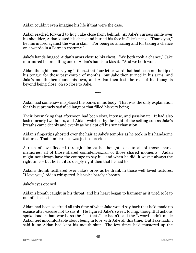Aidan couldn't even imagine his life if that were the case.

Aidan reached forward to hug Jake close from behind. At Jake's curious smile over his shoulder, Aidan kissed his cheek and buried his face in Jake's neck. "Thank you," he murmured against the warm skin. "For being so amazing and for taking a chance on a weirdo in a Batman costume."

Jake's hands hugged Aidan's arms close to his chest. "We both took a chance," Jake murmured before lifting one of Aidan's hands to kiss it. "And we both won."

Aidan thought about saying it then…that four letter word that had been on the tip of his tongue for these past couple of months…but Jake then turned in his arms, and Jake's mouth then found his own, and Aidan then lost the rest of his thoughts beyond being close, oh so close to Jake.

\*\*\*

Aidan had somehow misplaced the bones in his body. That was the only explanation for this supremely satisfied languor that filled his very being.

Their lovemaking that afternoon had been slow, intense, and passionate. It had also lasted nearly two hours, and Aidan watched by the light of the setting sun as Jake's breaths came deeply and evenly as he slept off his sex exhaustion.

Aidan's fingertips ghosted over the hair at Jake's temples as he took in his handsome features. That familiar face was just so precious.

A rush of love flooded through him as he thought back to all of those shared memories, all of those shared confidences…all of those shared moments. Aidan might not always have the courage to say it – and when he did, it wasn't always the right time – but he felt it so deeply right then that he had to.

Aidan's thumb feathered over Jake's brow as he drank in those well loved features. "I love you," Aidan whispered, his voice barely a breath.

Jake's eyes opened.

Aidan's breath caught in his throat, and his heart began to hammer as it tried to leap out of his chest.

Aidan had been so afraid all this time of what Jake would say back that he'd made up excuse after excuse not to say it. He figured Jake's sweet, loving, thoughtful actions spoke louder than words, so the fact that Jake hadn't said the L word hadn't made Aidan feel uncomfortable about being in love with Jake all this time. But Jake hadn't said it, so Aidan had kept his mouth shut. The few times he'd mustered up the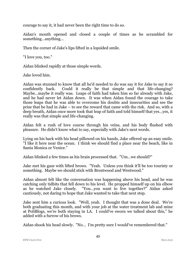courage to say it, it had never been the right time to do so.

Aidan's mouth opened and closed a couple of times as he scrambled for something…anything…

Then the corner of Jake's lips lifted in a lopsided smile.

"I love you, too."

Aidan blinked rapidly at those simple words.

Jake loved him.

Aidan was stunned to know that all he'd needed to do was say it for Jake to say it so confidently back. Could it really be that simple and that life-changing? Maybe…maybe it really was. Leaps of faith had taken him so far already with Jake, and he had never let Aidan down. It was when Aidan found the courage to take those leaps that he was able to overcome his doubts and insecurities and see the prize that he had in Jake – to see the reward that came with the risk. And so, with a deep breath, Aidan once more took that leap of faith and told himself that yes…yes, it really was that simple and life-changing.

Aidan felt a rush of love course through his veins, and his body flushed with pleasure. He didn't know what to say, especially with Jake's next words.

Lying on his back with his head pillowed on his hands, Jake offered up an easy smile. "I like it here near the ocean. I think we should find a place near the beach, like in Santa Monica or Venice."

Aidan blinked a few times as his brain processed that. "Um…we should?"

Jake met his gaze with lifted brows. "Yeah. Unless you think it'll be too touristy or something. Maybe we should stick with Brentwood and Westwood."

Aidan almost felt like the conversation was happening above his head, and he was catching only tidbits that fell down to his level. He propped himself up on his elbow as he watched Jake closely. "You…you want to live together?" Aidan asked cautiously, not daring to hope that Jake wanted to take that next step.

Jake sent him a curious look. "Well, yeah. I thought that was a done deal. We're both graduating this month, and with your job at the water treatment lab and mine at PoliBlogs, we're both staying in LA. I could've sworn we talked about this," he added with a furrow of his brows.

Aidan shook his head slowly. "No… I'm pretty sure I would've remembered that."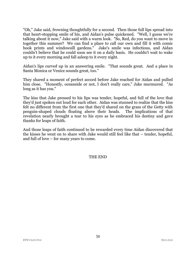"Oh," Jake said, frowning thoughtfully for a second. Then those full lips spread into that heart-stopping smile of his, and Aidan's pulse quickened. "Well, I guess we're talking about it now," Jake said with a warm look. "So, Red, do you want to move in together this summer? We can find a place to call our own and fill it with comic book prints and windowsill gardens." Jake's smile was infectious, and Aidan couldn't believe that he could soon see it on a daily basis. He couldn't wait to wake up to it every morning and fall asleep to it every night.

Aidan's lips curved up in an answering smile. "That sounds great. And a place in Santa Monica or Venice sounds great, too."

They shared a moment of perfect accord before Jake reached for Aidan and pulled him close. "Honestly, oceanside or not, I don't really care," Jake murmured. "As long as it has you."

The kiss that Jake pressed to his lips was tender, hopeful, and full of the love that they'd just spoken out loud for each other. Aidan was stunned to realize that the kiss felt no different from the first one that they'd shared on the grass of the Getty with penguin-shaped clouds floating above their heads. The implications of that revelation nearly brought a tear to his eyes as he embraced his destiny and gave thanks for leaps of faith.

And those leaps of faith continued to be rewarded every time Aidan discovered that the kisses he went on to share with Jake would still feel like that – tender, hopeful, and full of love – for many years to come.

#### THE END